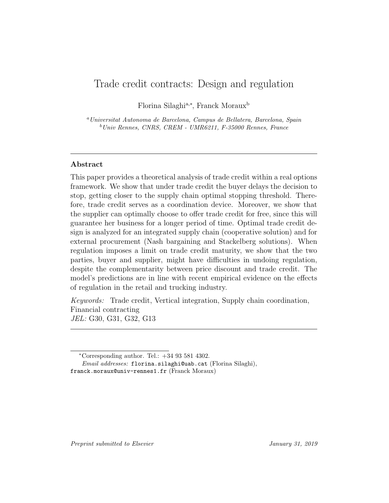# Trade credit contracts: Design and regulation

Florina Silaghi<sup>a,∗</sup>, Franck Moraux<sup>b</sup>

<sup>a</sup>Universitat Autonoma de Barcelona, Campus de Bellatera, Barcelona, Spain  $b$ Univ Rennes, CNRS, CREM - UMR6211, F-35000 Rennes, France

## Abstract

This paper provides a theoretical analysis of trade credit within a real options framework. We show that under trade credit the buyer delays the decision to stop, getting closer to the supply chain optimal stopping threshold. Therefore, trade credit serves as a coordination device. Moreover, we show that the supplier can optimally choose to offer trade credit for free, since this will guarantee her business for a longer period of time. Optimal trade credit design is analyzed for an integrated supply chain (cooperative solution) and for external procurement (Nash bargaining and Stackelberg solutions). When regulation imposes a limit on trade credit maturity, we show that the two parties, buyer and supplier, might have difficulties in undoing regulation, despite the complementarity between price discount and trade credit. The model's predictions are in line with recent empirical evidence on the effects of regulation in the retail and trucking industry.

Keywords: Trade credit, Vertical integration, Supply chain coordination, Financial contracting JEL: G30, G31, G32, G13

Email addresses: florina.silaghi@uab.cat (Florina Silaghi), franck.moraux@univ-rennes1.fr (Franck Moraux)

<sup>∗</sup>Corresponding author. Tel.: +34 93 581 4302.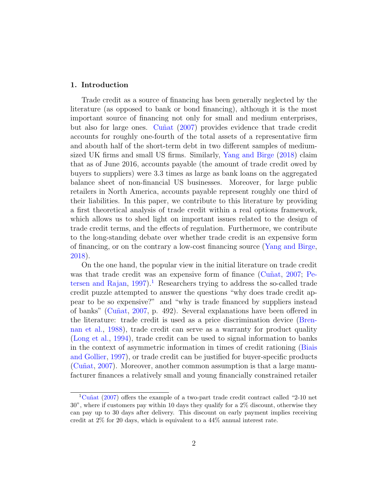## 1. Introduction

Trade credit as a source of financing has been generally neglected by the literature (as opposed to bank or bond financing), although it is the most important source of financing not only for small and medium enterprises, but also for large ones. Cuñat [\(2007\)](#page-27-0) provides evidence that trade credit accounts for roughly one-fourth of the total assets of a representative firm and abouth half of the short-term debt in two different samples of mediumsized UK firms and small US firms. Similarly, [Yang and Birge](#page-28-0) [\(2018\)](#page-28-0) claim that as of June 2016, accounts payable (the amount of trade credit owed by buyers to suppliers) were 3.3 times as large as bank loans on the aggregated balance sheet of non-financial US businesses. Moreover, for large public retailers in North America, accounts payable represent roughly one third of their liabilities. In this paper, we contribute to this literature by providing a first theoretical analysis of trade credit within a real options framework, which allows us to shed light on important issues related to the design of trade credit terms, and the effects of regulation. Furthermore, we contribute to the long-standing debate over whether trade credit is an expensive form of financing, or on the contrary a low-cost financing source [\(Yang and Birge,](#page-28-0) [2018\)](#page-28-0).

On the one hand, the popular view in the initial literature on trade credit was that trade credit was an expensive form of finance (Cunat,  $2007$ ; [Pe](#page-28-1)[tersen and Rajan,](#page-28-1)  $1997$  $1997$ <sup>1</sup>. Researchers trying to address the so-called trade credit puzzle attempted to answer the questions "why does trade credit appear to be so expensive?" and "why is trade financed by suppliers instead of banks" [\(Cu˜nat,](#page-27-0) [2007,](#page-27-0) p. 492). Several explanations have been offered in the literature: trade credit is used as a price discrimination device [\(Bren](#page-27-1)[nan et al.,](#page-27-1) [1988\)](#page-27-1), trade credit can serve as a warranty for product quality [\(Long et al.,](#page-28-2) [1994\)](#page-28-2), trade credit can be used to signal information to banks in the context of asymmetric information in times of credit rationing [\(Biais](#page-27-2) [and Gollier,](#page-27-2) [1997\)](#page-27-2), or trade credit can be justified for buyer-specific products (Cu $\tilde{\text{nu}}$ , [2007\)](#page-27-0). Moreover, another common assumption is that a large manufacturer finances a relatively small and young financially constrained retailer

<span id="page-1-0"></span><sup>&</sup>lt;sup>1</sup>Cuñat [\(2007\)](#page-27-0) offers the example of a two-part trade credit contract called "2-10 net 30", where if customers pay within 10 days they qualify for a 2% discount, otherwise they can pay up to 30 days after delivery. This discount on early payment implies receiving credit at 2% for 20 days, which is equivalent to a 44% annual interest rate.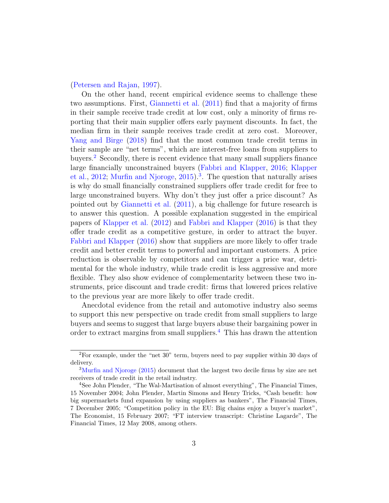#### [\(Petersen and Rajan,](#page-28-1) [1997\)](#page-28-1).

On the other hand, recent empirical evidence seems to challenge these two assumptions. First, [Giannetti et al.](#page-28-3) [\(2011\)](#page-28-3) find that a majority of firms in their sample receive trade credit at low cost, only a minority of firms reporting that their main supplier offers early payment discounts. In fact, the median firm in their sample receives trade credit at zero cost. Moreover, [Yang and Birge](#page-28-0) [\(2018\)](#page-28-0) find that the most common trade credit terms in their sample are "net terms", which are interest-free loans from suppliers to buyers.[2](#page-2-0) Secondly, there is recent evidence that many small suppliers finance large financially unconstrained buyers [\(Fabbri and Klapper,](#page-27-3) [2016;](#page-27-3) [Klapper](#page-28-4) [et al.,](#page-28-4) [2012;](#page-28-4) [Murfin and Njoroge,](#page-28-5) [2015\)](#page-28-5).<sup>[3](#page-2-1)</sup>. The question that naturally arises is why do small financially constrained suppliers offer trade credit for free to large unconstrained buyers. Why don't they just offer a price discount? As pointed out by [Giannetti et al.](#page-28-3) [\(2011\)](#page-28-3), a big challenge for future research is to answer this question. A possible explanation suggested in the empirical papers of [Klapper et al.](#page-28-4) [\(2012\)](#page-28-4) and [Fabbri and Klapper](#page-27-3) [\(2016\)](#page-27-3) is that they offer trade credit as a competitive gesture, in order to attract the buyer. [Fabbri and Klapper](#page-27-3) [\(2016\)](#page-27-3) show that suppliers are more likely to offer trade credit and better credit terms to powerful and important customers. A price reduction is observable by competitors and can trigger a price war, detrimental for the whole industry, while trade credit is less aggressive and more flexible. They also show evidence of complementarity between these two instruments, price discount and trade credit: firms that lowered prices relative to the previous year are more likely to offer trade credit.

Anecdotal evidence from the retail and automotive industry also seems to support this new perspective on trade credit from small suppliers to large buyers and seems to suggest that large buyers abuse their bargaining power in order to extract margins from small suppliers.[4](#page-2-2) This has drawn the attention

<span id="page-2-0"></span><sup>2</sup>For example, under the "net 30" term, buyers need to pay supplier within 30 days of delivery.

<span id="page-2-1"></span><sup>3</sup>[Murfin and Njoroge](#page-28-5) [\(2015\)](#page-28-5) document that the largest two decile firms by size are net receivers of trade credit in the retail industry.

<span id="page-2-2"></span><sup>4</sup>See John Plender, "The Wal-Martisation of almost everything", The Financial Times, 15 November 2004; John Plender, Martin Simons and Henry Tricks, "Cash benefit: how big supermarkets fund expansion by using suppliers as bankers", The Financial Times, 7 December 2005; "Competition policy in the EU: Big chains enjoy a buyer's market", The Economist, 15 February 2007; "FT interview transcript: Christine Lagarde", The Financial Times, 12 May 2008, among others.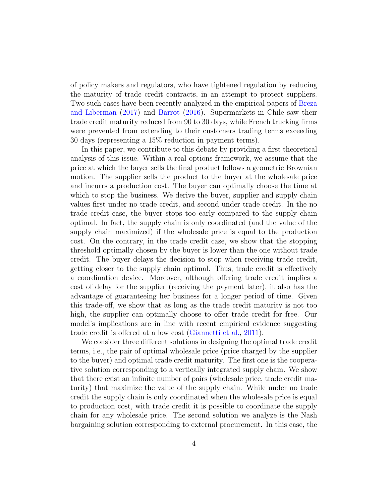of policy makers and regulators, who have tightened regulation by reducing the maturity of trade credit contracts, in an attempt to protect suppliers. Two such cases have been recently analyzed in the empirical papers of [Breza](#page-27-4) [and Liberman](#page-27-4) [\(2017\)](#page-27-4) and [Barrot](#page-27-5) [\(2016\)](#page-27-5). Supermarkets in Chile saw their trade credit maturity reduced from 90 to 30 days, while French trucking firms were prevented from extending to their customers trading terms exceeding 30 days (representing a 15% reduction in payment terms).

In this paper, we contribute to this debate by providing a first theoretical analysis of this issue. Within a real options framework, we assume that the price at which the buyer sells the final product follows a geometric Brownian motion. The supplier sells the product to the buyer at the wholesale price and incurrs a production cost. The buyer can optimally choose the time at which to stop the business. We derive the buyer, supplier and supply chain values first under no trade credit, and second under trade credit. In the no trade credit case, the buyer stops too early compared to the supply chain optimal. In fact, the supply chain is only coordinated (and the value of the supply chain maximized) if the wholesale price is equal to the production cost. On the contrary, in the trade credit case, we show that the stopping threshold optimally chosen by the buyer is lower than the one without trade credit. The buyer delays the decision to stop when receiving trade credit, getting closer to the supply chain optimal. Thus, trade credit is effectively a coordination device. Moreover, although offering trade credit implies a cost of delay for the supplier (receiving the payment later), it also has the advantage of guaranteeing her business for a longer period of time. Given this trade-off, we show that as long as the trade credit maturity is not too high, the supplier can optimally choose to offer trade credit for free. Our model's implications are in line with recent empirical evidence suggesting trade credit is offered at a low cost [\(Giannetti et al.,](#page-28-3) [2011\)](#page-28-3).

We consider three different solutions in designing the optimal trade credit terms, i.e., the pair of optimal wholesale price (price charged by the supplier to the buyer) and optimal trade credit maturity. The first one is the cooperative solution corresponding to a vertically integrated supply chain. We show that there exist an infinite number of pairs (wholesale price, trade credit maturity) that maximize the value of the supply chain. While under no trade credit the supply chain is only coordinated when the wholesale price is equal to production cost, with trade credit it is possible to coordinate the supply chain for any wholesale price. The second solution we analyze is the Nash bargaining solution corresponding to external procurement. In this case, the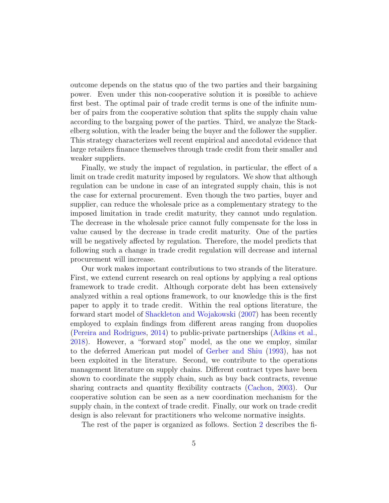outcome depends on the status quo of the two parties and their bargaining power. Even under this non-cooperative solution it is possible to achieve first best. The optimal pair of trade credit terms is one of the infinite number of pairs from the cooperative solution that splits the supply chain value according to the bargaing power of the parties. Third, we analyze the Stackelberg solution, with the leader being the buyer and the follower the supplier. This strategy characterizes well recent empirical and anecdotal evidence that large retailers finance themselves through trade credit from their smaller and weaker suppliers.

Finally, we study the impact of regulation, in particular, the effect of a limit on trade credit maturity imposed by regulators. We show that although regulation can be undone in case of an integrated supply chain, this is not the case for external procurement. Even though the two parties, buyer and supplier, can reduce the wholesale price as a complementary strategy to the imposed limitation in trade credit maturity, they cannot undo regulation. The decrease in the wholesale price cannot fully compensate for the loss in value caused by the decrease in trade credit maturity. One of the parties will be negatively affected by regulation. Therefore, the model predicts that following such a change in trade credit regulation will decrease and internal procurement will increase.

Our work makes important contributions to two strands of the literature. First, we extend current research on real options by applying a real options framework to trade credit. Although corporate debt has been extensively analyzed within a real options framework, to our knowledge this is the first paper to apply it to trade credit. Within the real options literature, the forward start model of [Shackleton and Wojakowski](#page-28-6) [\(2007\)](#page-28-6) has been recently employed to explain findings from different areas ranging from duopolies [\(Pereira and Rodrigues,](#page-28-7) [2014\)](#page-28-7) to public-private partnerships [\(Adkins et al.,](#page-27-6) [2018\)](#page-27-6). However, a "forward stop" model, as the one we employ, similar to the deferred American put model of [Gerber and Shiu](#page-28-8) [\(1993\)](#page-28-8), has not been exploited in the literature. Second, we contribute to the operations management literature on supply chains. Different contract types have been shown to coordinate the supply chain, such as buy back contracts, revenue sharing contracts and quantity flexibility contracts [\(Cachon,](#page-27-7) [2003\)](#page-27-7). Our cooperative solution can be seen as a new coordination mechanism for the supply chain, in the context of trade credit. Finally, our work on trade credit design is also relevant for practitioners who welcome normative insights.

The rest of the paper is organized as follows. Section [2](#page-5-0) describes the fi-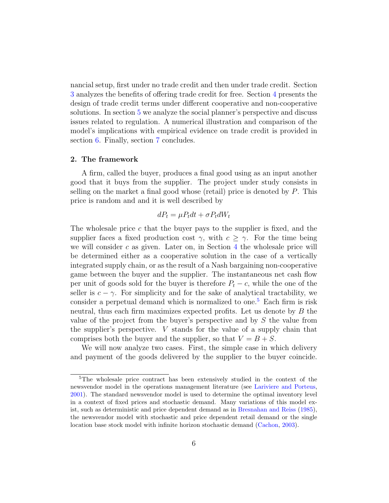nancial setup, first under no trade credit and then under trade credit. Section [3](#page-10-0) analyzes the benefits of offering trade credit for free. Section [4](#page-12-0) presents the design of trade credit terms under different cooperative and non-cooperative solutions. In section [5](#page-16-0) we analyze the social planner's perspective and discuss issues related to regulation. A numerical illustration and comparison of the model's implications with empirical evidence on trade credit is provided in section [6.](#page-19-0) Finally, section [7](#page-22-0) concludes.

#### <span id="page-5-0"></span>2. The framework

A firm, called the buyer, produces a final good using as an input another good that it buys from the supplier. The project under study consists in selling on the market a final good whose (retail) price is denoted by  $P$ . This price is random and and it is well described by

$$
dP_t = \mu P_t dt + \sigma P_t dW_t
$$

The wholesale price  $c$  that the buyer pays to the supplier is fixed, and the supplier faces a fixed production cost  $\gamma$ , with  $c \geq \gamma$ . For the time being we will consider  $c$  as given. Later on, in Section  $4$  the wholesale price will be determined either as a cooperative solution in the case of a vertically integrated supply chain, or as the result of a Nash bargaining non-cooperative game between the buyer and the supplier. The instantaneous net cash flow per unit of goods sold for the buyer is therefore  $P_t - c$ , while the one of the seller is  $c - \gamma$ . For simplicity and for the sake of analytical tractability, we consider a perpetual demand which is normalized to one.<sup>[5](#page-5-1)</sup> Each firm is risk neutral, thus each firm maximizes expected profits. Let us denote by B the value of the project from the buyer's perspective and by S the value from the supplier's perspective. V stands for the value of a supply chain that comprises both the buyer and the supplier, so that  $V = B + S$ .

We will now analyze two cases. First, the simple case in which delivery and payment of the goods delivered by the supplier to the buyer coincide.

<span id="page-5-1"></span><sup>&</sup>lt;sup>5</sup>The wholesale price contract has been extensively studied in the context of the newsvendor model in the operations management literature (see [Lariviere and Porteus,](#page-28-9) [2001\)](#page-28-9). The standard newsvendor model is used to determine the optimal inventory level in a context of fixed prices and stochastic demand. Many variations of this model exist, such as deterministic and price dependent demand as in [Bresnahan and Reiss](#page-27-8) [\(1985\)](#page-27-8), the newsvendor model with stochastic and price dependent retail demand or the single location base stock model with infinite horizon stochastic demand [\(Cachon,](#page-27-7) [2003\)](#page-27-7).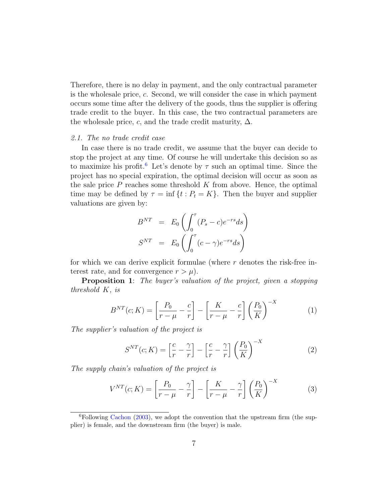Therefore, there is no delay in payment, and the only contractual parameter is the wholesale price, c. Second, we will consider the case in which payment occurs some time after the delivery of the goods, thus the supplier is offering trade credit to the buyer. In this case, the two contractual parameters are the wholesale price, c, and the trade credit maturity,  $\Delta$ .

#### 2.1. The no trade credit case

In case there is no trade credit, we assume that the buyer can decide to stop the project at any time. Of course he will undertake this decision so as to maximize his profit.<sup>[6](#page-6-0)</sup> Let's denote by  $\tau$  such an optimal time. Since the project has no special expiration, the optimal decision will occur as soon as the sale price  $P$  reaches some threshold  $K$  from above. Hence, the optimal time may be defined by  $\tau = \inf \{ t : P_t = K \}$ . Then the buyer and supplier valuations are given by:

$$
B^{NT} = E_0 \left( \int_0^{\tau} (P_s - c)e^{-rs} ds \right)
$$
  

$$
S^{NT} = E_0 \left( \int_0^{\tau} (c - \gamma)e^{-rs} ds \right)
$$

for which we can derive explicit formulae (where  $r$  denotes the risk-free interest rate, and for convergence  $r > \mu$ ).

**Proposition 1:** The buyer's valuation of the project, given a stopping threshold K, is

$$
B^{NT}(c; K) = \left[\frac{P_0}{r - \mu} - \frac{c}{r}\right] - \left[\frac{K}{r - \mu} - \frac{c}{r}\right] \left(\frac{P_0}{K}\right)^{-X} \tag{1}
$$

The supplier's valuation of the project is

$$
S^{NT}(c;K) = \left[\frac{c}{r} - \frac{\gamma}{r}\right] - \left[\frac{c}{r} - \frac{\gamma}{r}\right] \left(\frac{P_0}{K}\right)^{-X}
$$
(2)

The supply chain's valuation of the project is

$$
V^{NT}(c; K) = \left[\frac{P_0}{r - \mu} - \frac{\gamma}{r}\right] - \left[\frac{K}{r - \mu} - \frac{\gamma}{r}\right] \left(\frac{P_0}{K}\right)^{-X} \tag{3}
$$

<span id="page-6-0"></span> $6$ Following [Cachon](#page-27-7) [\(2003\)](#page-27-7), we adopt the convention that the upstream firm (the supplier) is female, and the downstream firm (the buyer) is male.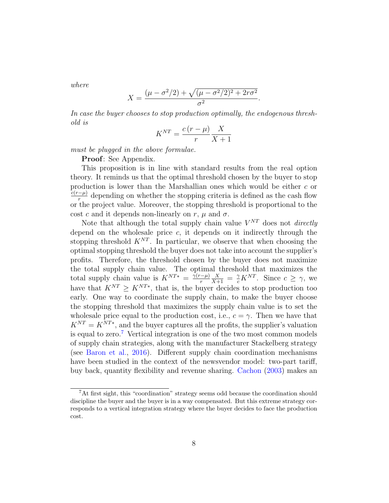where

$$
X = \frac{(\mu - \sigma^2/2) + \sqrt{(\mu - \sigma^2/2)^2 + 2r\sigma^2}}{\sigma^2}.
$$

In case the buyer chooses to stop production optimally, the endogenous threshold is

$$
K^{NT} = \frac{c(r - \mu)}{r} \frac{X}{X + 1}
$$

must be plugged in the above formulae.

Proof: See Appendix.

This proposition is in line with standard results from the real option theory. It reminds us that the optimal threshold chosen by the buyer to stop production is lower than the Marshallian ones which would be either c or  $c(r-\mu)$  $\frac{-\mu}{r}$  depending on whether the stopping criteria is defined as the cash flow or the project value. Moreover, the stopping threshold is proportional to the cost c and it depends non-linearly on r,  $\mu$  and  $\sigma$ .

Note that although the total supply chain value  $V^{NT}$  does not *directly* depend on the wholesale price  $c$ , it depends on it indirectly through the stopping threshold  $K^{NT}$ . In particular, we observe that when choosing the optimal stopping threshold the buyer does not take into account the supplier's profits. Therefore, the threshold chosen by the buyer does not maximize the total supply chain value. The optimal threshold that maximizes the total supply chain value is  $K^{NT*} = \frac{\gamma(r-\mu)}{r}$ r  $\frac{X}{X+1} = \frac{\gamma}{c} K^{NT}$ . Since  $c \geq \gamma$ , we have that  $K^{NT} \geq K^{NT*}$ , that is, the buyer decides to stop production too early. One way to coordinate the supply chain, to make the buyer choose the stopping threshold that maximizes the supply chain value is to set the wholesale price equal to the production cost, i.e.,  $c = \gamma$ . Then we have that  $K^{NT} = K^{NT*}$ , and the buyer captures all the profits, the supplier's valuation is equal to zero.<sup>[7](#page-7-0)</sup> Vertical integration is one of the two most common models of supply chain strategies, along with the manufacturer Stackelberg strategy (see [Baron et al.,](#page-27-9) [2016\)](#page-27-9). Different supply chain coordination mechanisms have been studied in the context of the newsvendor model: two-part tariff, buy back, quantity flexibility and revenue sharing. [Cachon](#page-27-7) [\(2003\)](#page-27-7) makes an

<span id="page-7-0"></span><sup>&</sup>lt;sup>7</sup>At first sight, this "coordination" strategy seems odd because the coordination should discipline the buyer and the buyer is in a way compensated. But this extreme strategy corresponds to a vertical integration strategy where the buyer decides to face the production cost.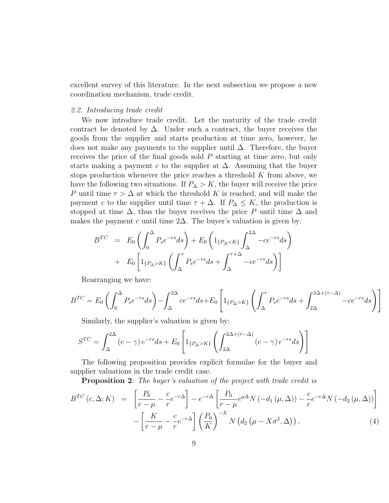excellent survey of this literature. In the next subsection we propose a new coordination mechanism, trade credit.

#### 2.2. Introducing trade credit

We now introduce trade credit. Let the maturity of the trade credit contract be denoted by  $\Delta$ . Under such a contract, the buyer receives the goods from the supplier and starts production at time zero, however, he does not make any payments to the supplier until ∆. Therefore, the buyer receives the price of the final goods sold P starting at time zero, but only starts making a payment c to the supplier at  $\Delta$ . Assuming that the buyer stops production whenever the price reaches a threshold  $K$  from above, we have the following two situations. If  $P_{\Delta} > K$ , the buyer will receive the price P until time  $\tau > \Delta$  at which the threshold K is reached, and will make the payment c to the supplier until time  $\tau + \Delta$ . If  $P_{\Delta} \leq K$ , the production is stopped at time  $\Delta$ , thus the buyer receives the price P until time  $\Delta$  and makes the payment c until time  $2\Delta$ . The buyer's valuation is given by:

$$
B^{TC} = E_0 \left( \int_0^{\Delta} P_s e^{-rs} ds \right) + E_0 \left( 1_{\{P_\Delta < K\}} \int_{\Delta}^{2\Delta} -ce^{-rs} ds \right) + E_0 \left[ 1_{\{P_\Delta > K\}} \left( \int_{\Delta}^{\tau} P_s e^{-rs} ds + \int_{\Delta}^{\tau + \Delta} -ce^{-rs} ds \right) \right]
$$

Rearranging we have:

$$
B^{TC} = E_0 \left( \int_0^{\Delta} P_s e^{-rs} ds \right) - \int_{\Delta}^{2\Delta} c e^{-rs} ds + E_0 \left[ 1_{\{P_{\Delta} > K\}} \left( \int_{\Delta}^{\tau} P_s e^{-rs} ds + \int_{2\Delta}^{2\Delta + (\tau - \Delta)} - c e^{-rs} ds \right) \right]
$$

Similarly, the supplier's valuation is given by:

$$
S^{TC} = \int_{\Delta}^{2\Delta} (c - \gamma) e^{-rs} ds + E_0 \left[ 1_{\{P_{\Delta} > K\}} \left( \int_{2\Delta}^{2\Delta + (\tau - \Delta)} (c - \gamma) e^{-rs} ds \right) \right]
$$

The following proposition provides explicit formulae for the buyer and supplier valuations in the trade credit case.

**Proposition 2:** The buyer's valuation of the project with trade credit is

<span id="page-8-0"></span>
$$
B^{TC}(c,\Delta;K) = \left[\frac{P_0}{r-\mu} - \frac{c}{r}e^{-r\Delta}\right] - e^{-r\Delta}\left[\frac{P_0}{r-\mu}e^{\mu\Delta}N\left(-d_1\left(\mu,\Delta\right)\right) - \frac{c}{r}e^{-r\Delta}N\left(-d_2\left(\mu,\Delta\right)\right)\right] - \left[\frac{K}{r-\mu} - \frac{c}{r}e^{-r\Delta}\right]\left(\frac{P_0}{K}\right)^{-X}N\left(d_2\left(\mu-X\sigma^2,\Delta\right)\right),\tag{4}
$$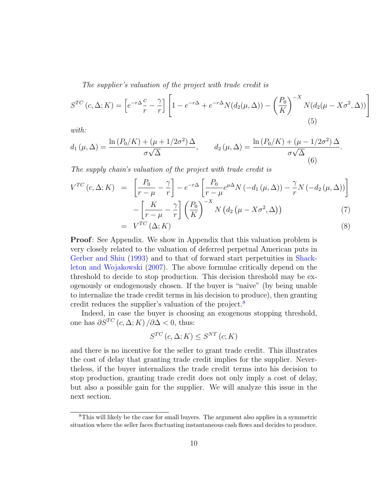The supplier's valuation of the project with trade credit is

$$
S^{TC}(c,\Delta;K) = \left[e^{-r\Delta}\frac{c}{r} - \frac{\gamma}{r}\right] \left[1 - e^{-r\Delta} + e^{-r\Delta}N(d_2(\mu,\Delta)) - \left(\frac{P_0}{K}\right)^{-X}N(d_2(\mu - X\sigma^2,\Delta))\right]
$$
\n(5)

with:

$$
d_1(\mu, \Delta) = \frac{\ln (P_0/K) + (\mu + 1/2\sigma^2) \Delta}{\sigma \sqrt{\Delta}}, \qquad d_2(\mu, \Delta) = \frac{\ln (P_0/K) + (\mu - 1/2\sigma^2) \Delta}{\sigma \sqrt{\Delta}}
$$
(6)

The supply chain's valuation of the project with trade credit is

 $=$ 

<span id="page-9-1"></span>
$$
V^{TC}(c, \Delta; K) = \left[\frac{P_0}{r - \mu} - \frac{\gamma}{r}\right] - e^{-r\Delta} \left[\frac{P_0}{r - \mu} e^{\mu \Delta} N\left(-d_1\left(\mu, \Delta\right)\right) - \frac{\gamma}{r} N\left(-d_2\left(\mu, \Delta\right)\right)\right]
$$

$$
-\left[\frac{K}{r - \mu} - \frac{\gamma}{r}\right] \left(\frac{P_0}{K}\right)^{-X} N\left(d_2\left(\mu - X\sigma^2, \Delta\right)\right) \tag{7}
$$

$$
V^{TC}(\Delta; K) \tag{8}
$$

.

Proof: See Appendix. We show in Appendix that this valuation problem is very closely related to the valuation of deferred perpetual American puts in [Gerber and Shiu](#page-28-8) [\(1993\)](#page-28-8) and to that of forward start perpetuities in [Shack](#page-28-6)[leton and Wojakowski](#page-28-6) [\(2007\)](#page-28-6). The above formulae critically depend on the threshold to decide to stop production. This decision threshold may be exogenously or endogenously chosen. If the buyer is "naive" (by being unable to internalize the trade credit terms in his decision to produce), then granting credit reduces the supplier's valuation of the project.[8](#page-9-0)

Indeed, in case the buyer is choosing an exogenous stopping threshold, one has  $\partial S^{TC}$  (c,  $\Delta$ ; K) / $\partial \Delta$  < 0, thus:

$$
S^{TC}(c,\Delta;K) \leq S^{NT}(c;K)
$$

and there is no incentive for the seller to grant trade credit. This illustrates the cost of delay that granting trade credit implies for the supplier. Nevertheless, if the buyer internalizes the trade credit terms into his decision to stop production, granting trade credit does not only imply a cost of delay, but also a possible gain for the supplier. We will analyze this issue in the next section.

<span id="page-9-0"></span><sup>8</sup>This will likely be the case for small buyers. The argument also applies in a symmetric situation where the seller faces fluctuating instantaneous cash flows and decides to produce.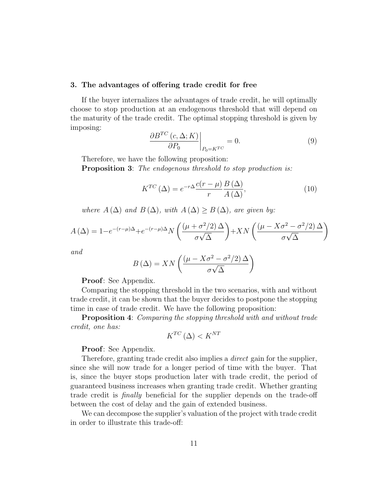#### <span id="page-10-0"></span>3. The advantages of offering trade credit for free

If the buyer internalizes the advantages of trade credit, he will optimally choose to stop production at an endogenous threshold that will depend on the maturity of the trade credit. The optimal stopping threshold is given by imposing:

<span id="page-10-1"></span>
$$
\left. \frac{\partial B^{TC} (c, \Delta; K)}{\partial P_0} \right|_{P_0 = K^{TC}} = 0. \tag{9}
$$

Therefore, we have the following proposition:

**Proposition 3:** The endogenous threshold to stop production is:

$$
K^{TC} (\Delta) = e^{-r\Delta} \frac{c(r - \mu)}{r} \frac{B(\Delta)}{A(\Delta)},
$$
\n(10)

where  $A(\Delta)$  and  $B(\Delta)$ , with  $A(\Delta) \geq B(\Delta)$ , are given by:

$$
A(\Delta) = 1 - e^{-(r-\mu)\Delta} + e^{-(r-\mu)\Delta} N \left( \frac{(\mu + \sigma^2/2) \Delta}{\sigma \sqrt{\Delta}} \right) + XN \left( \frac{(\mu - X\sigma^2 - \sigma^2/2) \Delta}{\sigma \sqrt{\Delta}} \right)
$$

and

$$
B\left(\Delta\right) = XN\left(\frac{\left(\mu - X\sigma^2 - \sigma^2/2\right)\Delta}{\sigma\sqrt{\Delta}}\right)
$$

Proof: See Appendix.

Comparing the stopping threshold in the two scenarios, with and without trade credit, it can be shown that the buyer decides to postpone the stopping time in case of trade credit. We have the following proposition:

**Proposition 4:** Comparing the stopping threshold with and without trade credit, one has:

$$
K^{TC}(\Delta) < K^{NT}
$$

Proof: See Appendix.

Therefore, granting trade credit also implies a *direct* gain for the supplier, since she will now trade for a longer period of time with the buyer. That is, since the buyer stops production later with trade credit, the period of guaranteed business increases when granting trade credit. Whether granting trade credit is finally beneficial for the supplier depends on the trade-off between the cost of delay and the gain of extended business.

We can decompose the supplier's valuation of the project with trade credit in order to illustrate this trade-off: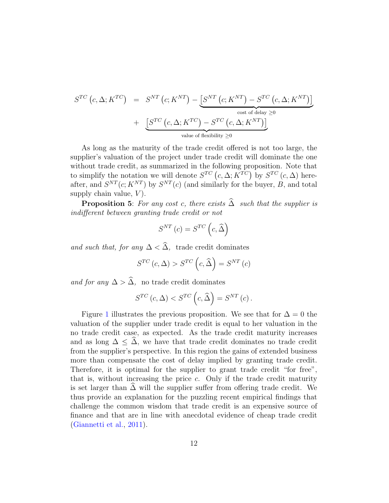$$
S^{TC}(c, \Delta; K^{TC}) = S^{NT}(c; K^{NT}) - [S^{NT}(c; K^{NT}) - S^{TC}(c, \Delta; K^{NT})]
$$
  
+ 
$$
S^{TC}(c, \Delta; K^{TC}) - S^{TC}(c, \Delta; K^{NT})
$$
  
value of flexibility  $\ge 0$ 

As long as the maturity of the trade credit offered is not too large, the supplier's valuation of the project under trade credit will dominate the one without trade credit, as summarized in the following proposition. Note that to simplify the notation we will denote  $S^{TC}$   $(c, \Delta; K^{TC})$  by  $S^{TC}$   $(c, \Delta)$  hereafter, and  $S^{NT}(c; K^{NT})$  by  $S^{NT}(c)$  (and similarly for the buyer, B, and total supply chain value,  $V$ ).

**Proposition 5:** For any cost c, there exists  $\widehat{\Delta}$  such that the supplier is indifferent between granting trade credit or not

$$
S^{NT}(c) = S^{TC}\left(c, \widehat{\Delta}\right)
$$

and such that, for any  $\Delta < \hat{\Delta}$ , trade credit dominates

$$
S^{TC}(c,\Delta) > S^{TC}\left(c,\widehat{\Delta}\right) = S^{NT}(c)
$$

and for any  $\Delta > \hat{\Delta}$ , no trade credit dominates

$$
S^{TC}(c,\Delta) < S^{TC}(c,\widehat{\Delta}) = S^{NT}(c).
$$

Figure [1](#page-29-0) illustrates the previous proposition. We see that for  $\Delta = 0$  the valuation of the supplier under trade credit is equal to her valuation in the no trade credit case, as expected. As the trade credit maturity increases and as long  $\Delta \leq \hat{\Delta}$ , we have that trade credit dominates no trade credit from the supplier's perspective. In this region the gains of extended business more than compensate the cost of delay implied by granting trade credit. Therefore, it is optimal for the supplier to grant trade credit "for free", that is, without increasing the price c. Only if the trade credit maturity is set larger than  $\Delta$  will the supplier suffer from offering trade credit. We thus provide an explanation for the puzzling recent empirical findings that challenge the common wisdom that trade credit is an expensive source of finance and that are in line with anecdotal evidence of cheap trade credit [\(Giannetti et al.,](#page-28-3) [2011\)](#page-28-3).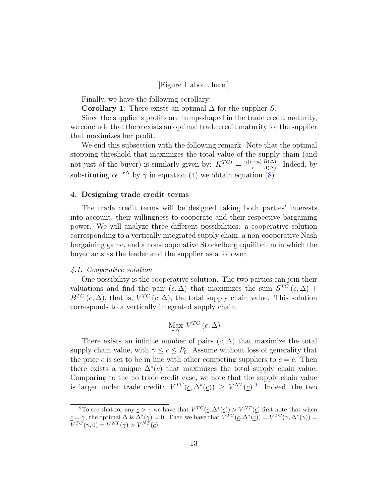[Figure 1 about here.]

Finally, we have the following corollary:

**Corollary 1:** There exists an optimal  $\Delta$  for the supplier S.

Since the supplier's profits are hump-shaped in the trade credit maturity, we conclude that there exists an optimal trade credit maturity for the supplier that maximizes her profit.

We end this subsection with the following remark. Note that the optimal stopping threshold that maximizes the total value of the supply chain (and not just of the buyer) is similarly given by:  $K^{TC*} = \frac{\gamma(r-\mu)}{r}$ r  $\frac{B(\Delta)}{A(\Delta)}$ . Indeed, by substituting  $ce^{-r\Delta}$  by  $\gamma$  in equation [\(4\)](#page-8-0) we obtain equation [\(8\)](#page-9-1).

#### <span id="page-12-0"></span>4. Designing trade credit terms

The trade credit terms will be designed taking both parties' interests into account, their willingness to cooperate and their respective bargaining power. We will analyze three different possibilities: a cooperative solution corresponding to a vertically integrated supply chain, a non-cooperative Nash bargaining game, and a non-cooperative Stackelberg equilibrium in which the buyer acts as the leader and the supplier as a follower.

#### 4.1. Cooperative solution

One possibility is the cooperative solution. The two parties can join their valuations and find the pair  $(c, \Delta)$  that maximizes the sum  $S^{TC}(c, \Delta)$  +  $B^{TC}(c,\Delta)$ , that is,  $V^{TC}(c,\Delta)$ , the total supply chain value. This solution corresponds to a vertically integrated supply chain.

$$
\underset{c,\Delta}{\text{Max }}V^{TC}\left(c,\Delta\right)
$$

There exists an infinite number of pairs  $(c, \Delta)$  that maximize the total supply chain value, with  $\gamma \leq c \leq P_0$ . Assume without loss of generality that the price c is set to be in line with other competing suppliers to  $c = c$ . Then there exists a unique  $\Delta^*(\underline{c})$  that maximizes the total supply chain value. Comparing to the no trade credit case, we note that the supply chain value is larger under trade credit:  $V^{TC}(\underline{c}, \Delta^*(\underline{c})) \geq V^{NT}(\underline{c})$ . Indeed, the two

<span id="page-12-1"></span><sup>&</sup>lt;sup>9</sup>To see that for any  $\underline{c} > \gamma$  we have that  $V^{TC}(\underline{c}, \Delta^*(\underline{c})) > V^{NT}(\underline{c})$  first note that when  $\underline{c} = \gamma$ , the optimal  $\Delta$  is  $\Delta^*(\gamma) = 0$ . Then we have that  $V^{TC}(\underline{c}, \Delta^*(\underline{c})) = V^{TC}(\gamma, \Delta^*(\gamma)) =$  $V^{TC}(\gamma,0) = V^{NT}(\gamma) > V^{NT}(\underline{c}).$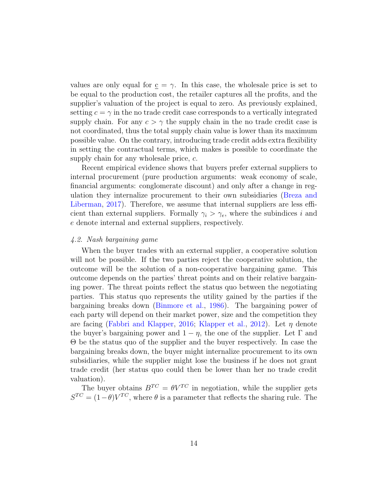values are only equal for  $c = \gamma$ . In this case, the wholesale price is set to be equal to the production cost, the retailer captures all the profits, and the supplier's valuation of the project is equal to zero. As previously explained, setting  $c = \gamma$  in the no trade credit case corresponds to a vertically integrated supply chain. For any  $c > \gamma$  the supply chain in the no trade credit case is not coordinated, thus the total supply chain value is lower than its maximum possible value. On the contrary, introducing trade credit adds extra flexibility in setting the contractual terms, which makes is possible to coordinate the supply chain for any wholesale price, c.

Recent empirical evidence shows that buyers prefer external suppliers to internal procurement (pure production arguments: weak economy of scale, financial arguments: conglomerate discount) and only after a change in regulation they internalize procurement to their own subsidiaries [\(Breza and](#page-27-4) [Liberman,](#page-27-4) [2017\)](#page-27-4). Therefore, we assume that internal suppliers are less efficient than external suppliers. Formally  $\gamma_i > \gamma_e$ , where the subindices i and e denote internal and external suppliers, respectively.

#### 4.2. Nash bargaining game

When the buyer trades with an external supplier, a cooperative solution will not be possible. If the two parties reject the cooperative solution, the outcome will be the solution of a non-cooperative bargaining game. This outcome depends on the parties' threat points and on their relative bargaining power. The threat points reflect the status quo between the negotiating parties. This status quo represents the utility gained by the parties if the bargaining breaks down [\(Binmore et al.,](#page-27-10) [1986\)](#page-27-10). The bargaining power of each party will depend on their market power, size and the competition they are facing [\(Fabbri and Klapper,](#page-27-3) [2016;](#page-27-3) [Klapper et al.,](#page-28-4) [2012\)](#page-28-4). Let  $\eta$  denote the buyer's bargaining power and  $1 - \eta$ , the one of the supplier. Let  $\Gamma$  and Θ be the status quo of the supplier and the buyer respectively. In case the bargaining breaks down, the buyer might internalize procurement to its own subsidiaries, while the supplier might lose the business if he does not grant trade credit (her status quo could then be lower than her no trade credit valuation).

The buyer obtains  $B^{TC} = \theta V^{TC}$  in negotiation, while the supplier gets  $S^{TC} = (1 - \theta)V^{TC}$ , where  $\theta$  is a parameter that reflects the sharing rule. The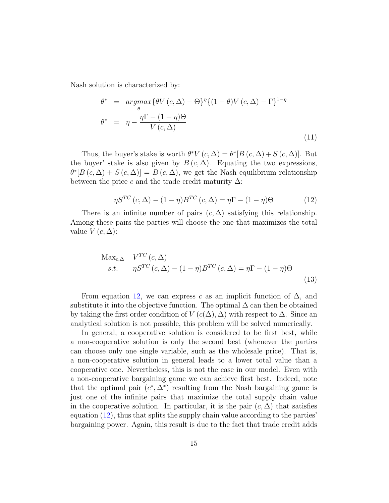Nash solution is characterized by:

$$
\theta^* = \underset{\theta}{argmax} \{ \theta V(c, \Delta) - \Theta \}^{\eta} \{ (1 - \theta) V(c, \Delta) - \Gamma \}^{1 - \eta}
$$
  

$$
\theta^* = \eta - \frac{\eta \Gamma - (1 - \eta) \Theta}{V(c, \Delta)}
$$
(11)

Thus, the buyer's stake is worth  $\theta^* V(c, \Delta) = \theta^* [B(c, \Delta) + S(c, \Delta)].$  But the buyer' stake is also given by  $B(c,\Delta)$ . Equating the two expressions,  $\theta^*[B(c,\Delta) + S(c,\Delta)] = B(c,\Delta)$ , we get the Nash equilibrium relationship between the price c and the trade credit maturity  $\Delta$ :

<span id="page-14-0"></span>
$$
\eta S^{TC} (c, \Delta) - (1 - \eta) B^{TC} (c, \Delta) = \eta \Gamma - (1 - \eta) \Theta
$$
\n(12)

There is an infinite number of pairs  $(c, \Delta)$  satisfying this relationship. Among these pairs the parties will choose the one that maximizes the total value  $V(c,\Delta)$ :

$$
\begin{aligned}\n\text{Max}_{c,\Delta} \quad & V^{TC}(c,\Delta) \\
& s.t. \qquad & \eta S^{TC}(c,\Delta) - (1-\eta)B^{TC}(c,\Delta) = \eta \Gamma - (1-\eta)\Theta\n\end{aligned} \tag{13}
$$

From equation [12,](#page-14-0) we can express c as an implicit function of  $\Delta$ , and substitute it into the objective function. The optimal  $\Delta$  can then be obtained by taking the first order condition of  $V(c(\Delta), \Delta)$  with respect to  $\Delta$ . Since an analytical solution is not possible, this problem will be solved numerically.

In general, a cooperative solution is considered to be first best, while a non-cooperative solution is only the second best (whenever the parties can choose only one single variable, such as the wholesale price). That is, a non-cooperative solution in general leads to a lower total value than a cooperative one. Nevertheless, this is not the case in our model. Even with a non-cooperative bargaining game we can achieve first best. Indeed, note that the optimal pair  $(c^*, \Delta^*)$  resulting from the Nash bargaining game is just one of the infinite pairs that maximize the total supply chain value in the cooperative solution. In particular, it is the pair  $(c, \Delta)$  that satisfies equation [\(12\)](#page-14-0), thus that splits the supply chain value according to the parties' bargaining power. Again, this result is due to the fact that trade credit adds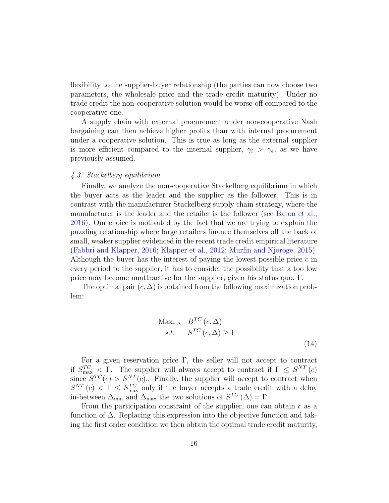flexibility to the supplier-buyer relationship (the parties can now choose two parameters, the wholesale price and the trade credit maturity). Under no trade credit the non-cooperative solution would be worse-off compared to the cooperative one.

A supply chain with external procurement under non-cooperative Nash bargaining can then achieve higher profits than with internal procurement under a cooperative solution. This is true as long as the external supplier is more efficient compared to the internal supplier,  $\gamma_i > \gamma_e$ , as we have previously assumed.

#### 4.3. Stackelberg equilibrium

Finally, we analyze the non-cooperative Stackelberg equilibrium in which the buyer acts as the leader and the supplier as the follower. This is in contrast with the manufacturer Stackelberg supply chain strategy, where the manufacturer is the leader and the retailer is the follower (see [Baron et al.,](#page-27-9) [2016\)](#page-27-9). Our choice is motivated by the fact that we are trying to explain the puzzling relationship where large retailers finance themselves off the back of small, weaker supplier evidenced in the recent trade credit empirical literature [\(Fabbri and Klapper,](#page-27-3) [2016;](#page-27-3) [Klapper et al.,](#page-28-4) [2012;](#page-28-4) [Murfin and Njoroge,](#page-28-5) [2015\)](#page-28-5). Although the buyer has the interest of paying the lowest possible price  $c$  in every period to the supplier, it has to consider the possibility that a too low price may become unattractive for the supplier, given his status quo, Γ.

The optimal pair  $(c, \Delta)$  is obtained from the following maximization problem:

$$
\begin{aligned}\n\text{Max}_{c,\Delta} & B^{TC}(c,\Delta) \\
s.t. & S^{TC}(c,\Delta) \ge \Gamma\n\end{aligned} \tag{14}
$$

For a given reservation price  $\Gamma$ , the seller will not accept to contract if  $S_{\text{max}}^{TC} \leq \Gamma$ . The supplier will always accept to contract if  $\Gamma \leq S^{NT}(c)$ since  $S^{TC}(c) > S^{NT}(c)$ .. Finally, the supplier will accept to contract when  $S^{NT}(c) < \Gamma \leq S^{TC}_{\text{max}}$  only if the buyer accepts a trade credit with a delay in-between  $\Delta_{\min}$  and  $\Delta_{\max}$  the two solutions of  $S^{TC}(\Delta) = \Gamma$ .

From the participation constraint of the supplier, one can obtain  $c$  as a function of ∆. Replacing this expression into the objective function and taking the first order condition we then obtain the optimal trade credit maturity,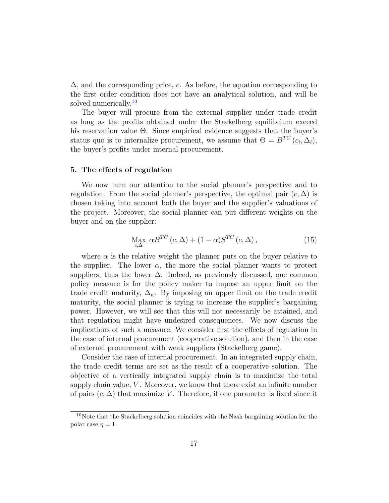$\Delta$ , and the corresponding price, c. As before, the equation corresponding to the first order condition does not have an analytical solution, and will be solved numerically.<sup>[10](#page-16-1)</sup>

The buyer will procure from the external supplier under trade credit as long as the profits obtained under the Stackelberg equilibrium exceed his reservation value Θ. Since empirical evidence suggests that the buyer's status quo is to internalize procurement, we assume that  $\Theta = B^{TC} (c_i, \Delta_i)$ , the buyer's profits under internal procurement.

#### <span id="page-16-0"></span>5. The effects of regulation

We now turn our attention to the social planner's perspective and to regulation. From the social planner's perspective, the optimal pair  $(c, \Delta)$  is chosen taking into account both the buyer and the supplier's valuations of the project. Moreover, the social planner can put different weights on the buyer and on the supplier:

$$
\underset{c,\Delta}{\text{Max}} \ \alpha B^{TC} \left( c,\Delta \right) + (1-\alpha) S^{TC} \left( c,\Delta \right),\tag{15}
$$

where  $\alpha$  is the relative weight the planner puts on the buyer relative to the supplier. The lower  $\alpha$ , the more the social planner wants to protect suppliers, thus the lower  $\Delta$ . Indeed, as previously discussed, one common policy measure is for the policy maker to impose an upper limit on the trade credit maturity,  $\Delta_n$ . By imposing an upper limit on the trade credit maturity, the social planner is trying to increase the supplier's bargaining power. However, we will see that this will not necessarily be attained, and that regulation might have undesired consequences. We now discuss the implications of such a measure. We consider first the effects of regulation in the case of internal procurement (cooperative solution), and then in the case of external procurement with weak suppliers (Stackelberg game).

Consider the case of internal procurement. In an integrated supply chain, the trade credit terms are set as the result of a cooperative solution. The objective of a vertically integrated supply chain is to maximize the total supply chain value,  $V$ . Moreover, we know that there exist an infinite number of pairs  $(c, \Delta)$  that maximize V. Therefore, if one parameter is fixed since it

<span id="page-16-1"></span><sup>&</sup>lt;sup>10</sup>Note that the Stackelberg solution coincides with the Nash bargaining solution for the polar case  $\eta = 1$ .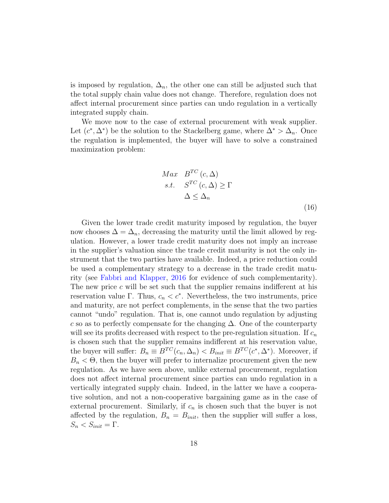is imposed by regulation,  $\Delta_n$ , the other one can still be adjusted such that the total supply chain value does not change. Therefore, regulation does not affect internal procurement since parties can undo regulation in a vertically integrated supply chain.

We move now to the case of external procurement with weak supplier. Let  $(c^*, \Delta^*)$  be the solution to the Stackelberg game, where  $\Delta^* > \Delta_n$ . Once the regulation is implemented, the buyer will have to solve a constrained maximization problem:

$$
Max \t B^{TC}(c, \Delta)
$$
  
s.t.  $S^{TC}(c, \Delta) \ge \Gamma$   
 $\Delta \le \Delta_n$  (16)

Given the lower trade credit maturity imposed by regulation, the buyer now chooses  $\Delta = \Delta_n$ , decreasing the maturity until the limit allowed by regulation. However, a lower trade credit maturity does not imply an increase in the supplier's valuation since the trade credit maturity is not the only instrument that the two parties have available. Indeed, a price reduction could be used a complementary strategy to a decrease in the trade credit maturity (see [Fabbri and Klapper,](#page-27-3) [2016](#page-27-3) for evidence of such complementarity). The new price  $c$  will be set such that the supplier remains indifferent at his reservation value  $\Gamma$ . Thus,  $c_n < c^*$ . Nevertheless, the two instruments, price and maturity, are not perfect complements, in the sense that the two parties cannot "undo" regulation. That is, one cannot undo regulation by adjusting c so as to perfectly compensate for the changing  $\Delta$ . One of the counterparty will see its profits decreased with respect to the pre-regulation situation. If  $c_n$ is chosen such that the supplier remains indifferent at his reservation value, the buyer will suffer:  $B_n \equiv B^{TC}(c_n, \Delta_n) < B_{init} \equiv B^{TC}(c^*, \Delta^*)$ . Moreover, if  $B_n < \Theta$ , then the buyer will prefer to internalize procurement given the new regulation. As we have seen above, unlike external procurement, regulation does not affect internal procurement since parties can undo regulation in a vertically integrated supply chain. Indeed, in the latter we have a cooperative solution, and not a non-cooperative bargaining game as in the case of external procurement. Similarly, if  $c_n$  is chosen such that the buyer is not affected by the regulation,  $B_n = B_{init}$ , then the supplier will suffer a loss,  $S_n < S_{init} = \Gamma$ .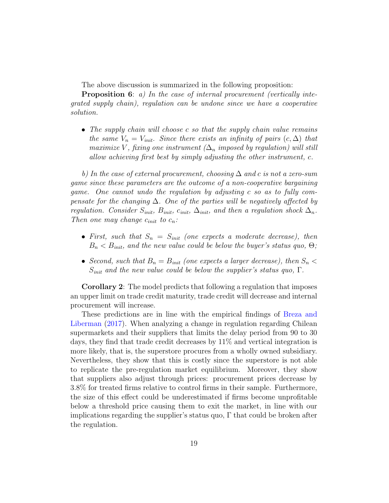The above discussion is summarized in the following proposition:

**Proposition 6:** a) In the case of internal procurement (vertically integrated supply chain), regulation can be undone since we have a cooperative solution.

• The supply chain will choose c so that the supply chain value remains the same  $V_n = V_{init}$ . Since there exists an infinity of pairs  $(c, \Delta)$  that maximize V, fixing one instrument ( $\Delta_n$  imposed by regulation) will still allow achieving first best by simply adjusting the other instrument, c.

b) In the case of external procurement, choosing  $\Delta$  and c is not a zero-sum game since these parameters are the outcome of a non-cooperative bargaining game. One cannot undo the regulation by adjusting c so as to fully compensate for the changing  $\Delta$ . One of the parties will be negatively affected by regulation. Consider  $S_{init}$ ,  $B_{init}$ ,  $c_{init}$ ,  $\Delta_{init}$ , and then a regulation shock  $\Delta_n$ . Then one may change  $c_{init}$  to  $c_n$ :

- First, such that  $S_n = S_{init}$  (one expects a moderate decrease), then  $B_n < B_{init}$ , and the new value could be below the buyer's status quo,  $\Theta$ ;
- Second, such that  $B_n = B_{init}$  (one expects a larger decrease), then  $S_n <$  $S_{init}$  and the new value could be below the supplier's status quo,  $\Gamma$ .

Corollary 2: The model predicts that following a regulation that imposes an upper limit on trade credit maturity, trade credit will decrease and internal procurement will increase.

These predictions are in line with the empirical findings of [Breza and](#page-27-4) [Liberman](#page-27-4) [\(2017\)](#page-27-4). When analyzing a change in regulation regarding Chilean supermarkets and their suppliers that limits the delay period from 90 to 30 days, they find that trade credit decreases by 11% and vertical integration is more likely, that is, the superstore procures from a wholly owned subsidiary. Nevertheless, they show that this is costly since the superstore is not able to replicate the pre-regulation market equilibrium. Moreover, they show that suppliers also adjust through prices: procurement prices decrease by 3.8% for treated firms relative to control firms in their sample. Furthermore, the size of this effect could be underestimated if firms become unprofitable below a threshold price causing them to exit the market, in line with our implications regarding the supplier's status quo,  $\Gamma$  that could be broken after the regulation.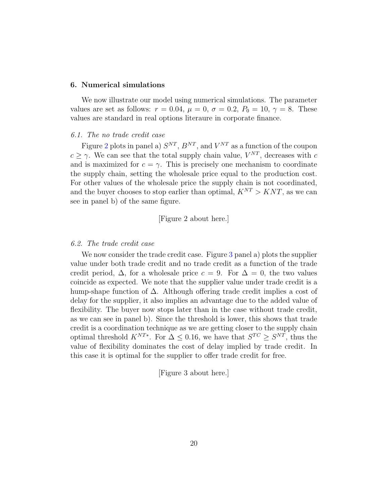#### <span id="page-19-0"></span>6. Numerical simulations

We now illustrate our model using numerical simulations. The parameter values are set as follows:  $r = 0.04$ ,  $\mu = 0$ ,  $\sigma = 0.2$ ,  $P_0 = 10$ ,  $\gamma = 8$ . These values are standard in real options literaure in corporate finance.

#### 6.1. The no trade credit case

Figure [2](#page-29-1) plots in panel a)  $S^{NT}$ ,  $B^{NT}$ , and  $V^{NT}$  as a function of the coupon  $c \geq \gamma$ . We can see that the total supply chain value,  $V^{NT}$ , decreases with c and is maximized for  $c = \gamma$ . This is precisely one mechanism to coordinate the supply chain, setting the wholesale price equal to the production cost. For other values of the wholesale price the supply chain is not coordinated, and the buyer chooses to stop earlier than optimal,  $K^{NT} > KNT$ , as we can see in panel b) of the same figure.

## [Figure 2 about here.]

#### 6.2. The trade credit case

We now consider the trade credit case. Figure [3](#page-30-0) panel a) plots the supplier value under both trade credit and no trade credit as a function of the trade credit period,  $\Delta$ , for a wholesale price  $c = 9$ . For  $\Delta = 0$ , the two values coincide as expected. We note that the supplier value under trade credit is a hump-shape function of  $\Delta$ . Although offering trade credit implies a cost of delay for the supplier, it also implies an advantage due to the added value of flexibility. The buyer now stops later than in the case without trade credit, as we can see in panel b). Since the threshold is lower, this shows that trade credit is a coordination technique as we are getting closer to the supply chain optimal threshold  $K^{NT*}$ . For  $\Delta \leq 0.16$ , we have that  $S^{TC} \geq S^{NT}$ , thus the value of flexibility dominates the cost of delay implied by trade credit. In this case it is optimal for the supplier to offer trade credit for free.

[Figure 3 about here.]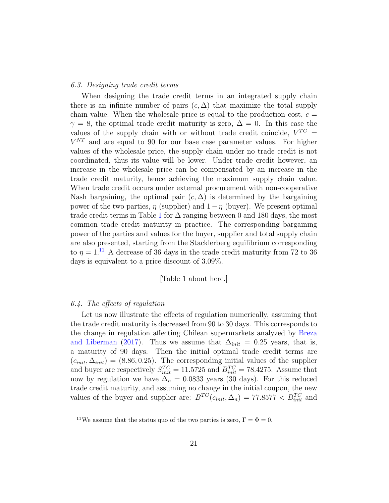#### 6.3. Designing trade credit terms

When designing the trade credit terms in an integrated supply chain there is an infinite number of pairs  $(c, \Delta)$  that maximize the total supply chain value. When the wholesale price is equal to the production cost,  $c =$  $\gamma = 8$ , the optimal trade credit maturity is zero,  $\Delta = 0$ . In this case the values of the supply chain with or without trade credit coincide,  $V^{TC} =$  $V^{NT}$  and are equal to 90 for our base case parameter values. For higher values of the wholesale price, the supply chain under no trade credit is not coordinated, thus its value will be lower. Under trade credit however, an increase in the wholesale price can be compensated by an increase in the trade credit maturity, hence achieving the maximum supply chain value. When trade credit occurs under external procurement with non-cooperative Nash bargaining, the optimal pair  $(c, \Delta)$  is determined by the bargaining power of the two parties,  $\eta$  (supplier) and  $1 - \eta$  (buyer). We present optimal trade credit terms in Table [1](#page-31-0) for  $\Delta$  ranging between 0 and 180 days, the most common trade credit maturity in practice. The corresponding bargaining power of the parties and values for the buyer, supplier and total supply chain are also presented, starting from the Stacklerberg equilibrium corresponding to  $\eta = 1$ .<sup>[11](#page-20-0)</sup> A decrease of 36 days in the trade credit maturity from 72 to 36 days is equivalent to a price discount of 3.09%.

## [Table 1 about here.]

### 6.4. The effects of regulation

Let us now illustrate the effects of regulation numerically, assuming that the trade credit maturity is decreased from 90 to 30 days. This corresponds to the change in regulation affecting Chilean supermarkets analyzed by [Breza](#page-27-4) [and Liberman](#page-27-4) [\(2017\)](#page-27-4). Thus we assume that  $\Delta_{init} = 0.25$  years, that is, a maturity of 90 days. Then the initial optimal trade credit terms are  $(c_{init}, \Delta_{init}) = (8.86, 0.25)$ . The corresponding initial values of the supplier and buyer are respectively  $S_{init}^{TC} = 11.5725$  and  $B_{init}^{TC} = 78.4275$ . Assume that now by regulation we have  $\Delta_n = 0.0833$  years (30 days). For this reduced trade credit maturity, and assuming no change in the initial coupon, the new values of the buyer and supplier are:  $B^{TC}(c_{init}, \Delta_n) = 77.8577 < B_{init}^{TC}$  and

<span id="page-20-0"></span><sup>&</sup>lt;sup>11</sup>We assume that the status quo of the two parties is zero,  $\Gamma = \Phi = 0$ .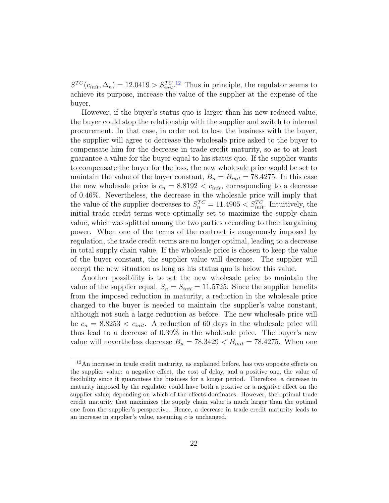$S^{TC}(c_{init}, \Delta_n) = 12.0419 > S_{init}^{TC}.$  $S^{TC}(c_{init}, \Delta_n) = 12.0419 > S_{init}^{TC}.$  $S^{TC}(c_{init}, \Delta_n) = 12.0419 > S_{init}^{TC}.$ <sup>12</sup> Thus in principle, the regulator seems to achieve its purpose, increase the value of the supplier at the expense of the buyer.

However, if the buyer's status quo is larger than his new reduced value, the buyer could stop the relationship with the supplier and switch to internal procurement. In that case, in order not to lose the business with the buyer, the supplier will agree to decrease the wholesale price asked to the buyer to compensate him for the decrease in trade credit maturity, so as to at least guarantee a value for the buyer equal to his status quo. If the supplier wants to compensate the buyer for the loss, the new wholesale price would be set to maintain the value of the buyer constant,  $B_n = B_{init} = 78.4275$ . In this case the new wholesale price is  $c_n = 8.8192 < c_{init}$ , corresponding to a decrease of 0.46%. Nevertheless, the decrease in the wholesale price will imply that the value of the supplier decreases to  $S_n^{TC} = 11.4905 < S_{init}^{TC}$ . Intuitively, the initial trade credit terms were optimally set to maximize the supply chain value, which was splitted among the two parties according to their bargaining power. When one of the terms of the contract is exogenously imposed by regulation, the trade credit terms are no longer optimal, leading to a decrease in total supply chain value. If the wholesale price is chosen to keep the value of the buyer constant, the supplier value will decrease. The supplier will accept the new situation as long as his status quo is below this value.

Another possibility is to set the new wholesale price to maintain the value of the supplier equal,  $S_n = S_{init} = 11.5725$ . Since the supplier benefits from the imposed reduction in maturity, a reduction in the wholesale price charged to the buyer is needed to maintain the supplier's value constant, although not such a large reduction as before. The new wholesale price will be  $c_n = 8.8253 < c_{init}$ . A reduction of 60 days in the wholesale price will thus lead to a decrease of 0.39% in the wholesale price. The buyer's new value will nevertheless decrease  $B_n = 78.3429 < B_{init} = 78.4275$ . When one

<span id="page-21-0"></span> $12$ An increase in trade credit maturity, as explained before, has two opposite effects on the supplier value: a negative effect, the cost of delay, and a positive one, the value of flexibility since it guarantees the business for a longer period. Therefore, a decrease in maturity imposed by the regulator could have both a positive or a negative effect on the supplier value, depending on which of the effects dominates. However, the optimal trade credit maturity that maximizes the supply chain value is much larger than the optimal one from the supplier's perspective. Hence, a decrease in trade credit maturity leads to an increase in supplier's value, assuming  $c$  is unchanged.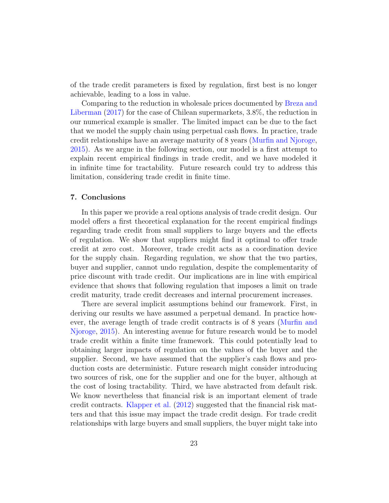of the trade credit parameters is fixed by regulation, first best is no longer achievable, leading to a loss in value.

Comparing to the reduction in wholesale prices documented by [Breza and](#page-27-4) [Liberman](#page-27-4) [\(2017\)](#page-27-4) for the case of Chilean supermarkets, 3.8%, the reduction in our numerical example is smaller. The limited impact can be due to the fact that we model the supply chain using perpetual cash flows. In practice, trade credit relationships have an average maturity of 8 years [\(Murfin and Njoroge,](#page-28-5) [2015\)](#page-28-5). As we argue in the following section, our model is a first attempt to explain recent empirical findings in trade credit, and we have modeled it in infinite time for tractability. Future research could try to address this limitation, considering trade credit in finite time.

## <span id="page-22-0"></span>7. Conclusions

In this paper we provide a real options analysis of trade credit design. Our model offers a first theoretical explanation for the recent empirical findings regarding trade credit from small suppliers to large buyers and the effects of regulation. We show that suppliers might find it optimal to offer trade credit at zero cost. Moreover, trade credit acts as a coordination device for the supply chain. Regarding regulation, we show that the two parties, buyer and supplier, cannot undo regulation, despite the complementarity of price discount with trade credit. Our implications are in line with empirical evidence that shows that following regulation that imposes a limit on trade credit maturity, trade credit decreases and internal procurement increases.

There are several implicit assumptions behind our framework. First, in deriving our results we have assumed a perpetual demand. In practice however, the average length of trade credit contracts is of 8 years [\(Murfin and](#page-28-5) [Njoroge,](#page-28-5) [2015\)](#page-28-5). An interesting avenue for future research would be to model trade credit within a finite time framework. This could potentially lead to obtaining larger impacts of regulation on the values of the buyer and the supplier. Second, we have assumed that the supplier's cash flows and production costs are deterministic. Future research might consider introducing two sources of risk, one for the supplier and one for the buyer, although at the cost of losing tractability. Third, we have abstracted from default risk. We know nevertheless that financial risk is an important element of trade credit contracts. [Klapper et al.](#page-28-4) [\(2012\)](#page-28-4) suggested that the financial risk matters and that this issue may impact the trade credit design. For trade credit relationships with large buyers and small suppliers, the buyer might take into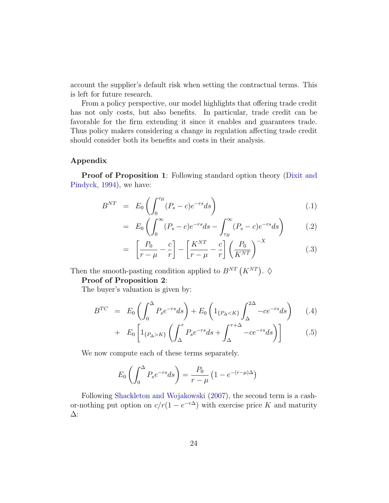account the supplier's default risk when setting the contractual terms. This is left for future research.

From a policy perspective, our model highlights that offering trade credit has not only costs, but also benefits. In particular, trade credit can be favorable for the firm extending it since it enables and guarantees trade. Thus policy makers considering a change in regulation affecting trade credit should consider both its benefits and costs in their analysis.

## Appendix

**Proof of Proposition 1**: Following standard option theory [\(Dixit and](#page-27-11) [Pindyck,](#page-27-11) [1994\)](#page-27-11), we have:

$$
B^{NT} = E_0 \left( \int_0^{\tau_B} (P_s - c) e^{-rs} ds \right) \tag{.1}
$$

$$
= E_0 \left( \int_0^\infty (P_s - c)e^{-rs} ds - \int_{\tau_B}^\infty (P_s - c)e^{-rs} ds \right) \tag{.2}
$$

$$
= \left[\frac{P_0}{r-\mu} - \frac{c}{r}\right] - \left[\frac{K^{NT}}{r-\mu} - \frac{c}{r}\right] \left(\frac{P_0}{K^{NT}}\right)^{-X} \tag{3}
$$

Then the smooth-pasting condition applied to  $B^{NT}(K^{NT})$ .  $\diamond$ 

## Proof of Proposition 2:

The buyer's valuation is given by:

<span id="page-23-0"></span>
$$
B^{TC} = E_0 \left( \int_0^{\Delta} P_s e^{-rs} ds \right) + E_0 \left( 1_{\{P_\Delta < K\}} \int_{\Delta}^{2\Delta} -ce^{-rs} ds \right) \tag{4}
$$

$$
+ E_0 \left[ 1_{\{P_\Delta > K\}} \left( \int_{\Delta}^{\tau} P_s e^{-rs} ds + \int_{\Delta}^{\tau + \Delta} -ce^{-rs} ds \right) \right]
$$
 (.5)

We now compute each of these terms separately.

$$
E_0\left(\int_0^\Delta P_s e^{-rs}ds\right) = \frac{P_0}{r-\mu}\left(1 - e^{-(r-\mu)\Delta}\right)
$$

Following [Shackleton and Wojakowski](#page-28-6) [\(2007\)](#page-28-6), the second term is a cashor-nothing put option on  $c/r(1 - e^{-r\Delta})$  with exercise price K and maturity ∆: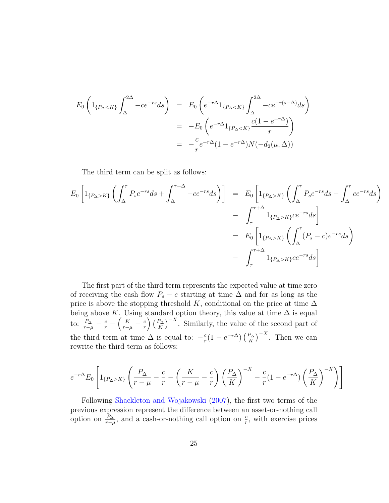$$
E_0 \left( 1_{\{P_\Delta < K\}} \int_{\Delta}^{2\Delta} -ce^{-rs} ds \right) = E_0 \left( e^{-r\Delta} 1_{\{P_\Delta < K\}} \int_{\Delta}^{2\Delta} -ce^{-r(s-\Delta)} ds \right)
$$

$$
= -E_0 \left( e^{-r\Delta} 1_{\{P_\Delta < K\}} \frac{c(1 - e^{-r\Delta})}{r} \right)
$$

$$
= -\frac{c}{r} e^{-r\Delta} (1 - e^{-r\Delta}) N(-d_2(\mu, \Delta))
$$

The third term can be split as follows:

$$
E_0 \left[ 1_{\{P_\Delta > K\}} \left( \int_{\Delta}^{\tau} P_s e^{-rs} ds + \int_{\Delta}^{\tau + \Delta} -ce^{-rs} ds \right) \right] = E_0 \left[ 1_{\{P_\Delta > K\}} \left( \int_{\Delta}^{\tau} P_s e^{-rs} ds - \int_{\Delta}^{\tau} ce^{-rs} ds \right) \right]
$$
  

$$
- \int_{\tau}^{\tau + \Delta} 1_{\{P_\Delta > K\}} ce^{-rs} ds \right]
$$
  

$$
= E_0 \left[ 1_{\{P_\Delta > K\}} \left( \int_{\Delta}^{\tau} (P_s - c) e^{-rs} ds \right) \right]
$$
  

$$
- \int_{\tau}^{\tau + \Delta} 1_{\{P_\Delta > K\}} ce^{-rs} ds \right]
$$

The first part of the third term represents the expected value at time zero of receiving the cash flow  $P_s - c$  starting at time  $\Delta$  and for as long as the price is above the stopping threshold K, conditional on the price at time  $\Delta$ being above K. Using standard option theory, this value at time  $\Delta$  is equal to:  $\frac{P_{\Delta}}{r-\mu} - \frac{c}{r} - \left(\frac{K}{r-\mu} - \frac{c}{r}\right)$  $\left(\frac{P_{\Delta}}{K}\right)\left(\frac{P_{\Delta}}{K}\right)$  $(\frac{P_{\Delta}}{K})^{-X}$ . Similarly, the value of the second part of the third term at time  $\Delta$  is equal to:  $-\frac{c}{r}$  $\frac{c}{r}(1-e^{-r\Delta})\left(\frac{P_{\Delta}}{K}\right)$  $\frac{P_{\Delta}}{K}$ )<sup>-X</sup>. Then we can rewrite the third term as follows:

$$
e^{-r\Delta}E_0\left[1_{\{P_\Delta>K\}}\left(\frac{P_\Delta}{r-\mu}-\frac{c}{r}-\left(\frac{K}{r-\mu}-\frac{c}{r}\right)\left(\frac{P_\Delta}{K}\right)^{-X}-\frac{c}{r}(1-e^{-r\Delta})\left(\frac{P_\Delta}{K}\right)^{-X}\right)\right]
$$

Following [Shackleton and Wojakowski](#page-28-6) [\(2007\)](#page-28-6), the first two terms of the previous expression represent the difference between an asset-or-nothing call option on  $\frac{P_{\Delta}}{r-\mu}$ , and a cash-or-nothing call option on  $\frac{c}{r}$ , with exercise prices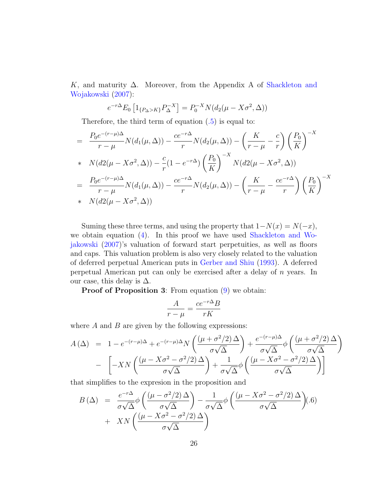K, and maturity  $\Delta$ . Moreover, from the Appendix A of [Shackleton and](#page-28-6) [Wojakowski](#page-28-6) [\(2007\)](#page-28-6):

$$
e^{-r\Delta} E_0 \left[ 1_{\{P_{\Delta} > K\}} P_{\Delta}^{-X} \right] = P_0^{-X} N (d_2(\mu - X\sigma^2, \Delta))
$$

Therefore, the third term of equation [\(.5\)](#page-23-0) is equal to:

$$
= \frac{P_0 e^{-(r-\mu)\Delta}}{r-\mu} N(d_1(\mu,\Delta)) - \frac{ce^{-r\Delta}}{r} N(d_2(\mu,\Delta)) - \left(\frac{K}{r-\mu} - \frac{c}{r}\right) \left(\frac{P_0}{K}\right)^{-X}
$$
  
\n
$$
+ N(d2(\mu - X\sigma^2, \Delta)) - \frac{c}{r}(1 - e^{-r\Delta}) \left(\frac{P_0}{K}\right)^{-X} N(d2(\mu - X\sigma^2, \Delta))
$$
  
\n
$$
= \frac{P_0 e^{-(r-\mu)\Delta}}{r-\mu} N(d_1(\mu,\Delta)) - \frac{ce^{-r\Delta}}{r} N(d_2(\mu,\Delta)) - \left(\frac{K}{r-\mu} - \frac{ce^{-r\Delta}}{r}\right) \left(\frac{P_0}{K}\right)^{-X}
$$
  
\n
$$
+ N(d2(\mu - X\sigma^2, \Delta))
$$

Suming these three terms, and using the property that  $1-N(x) = N(-x)$ , we obtain equation [\(4\)](#page-8-0). In this proof we have used [Shackleton and Wo](#page-28-6)[jakowski](#page-28-6) [\(2007\)](#page-28-6)'s valuation of forward start perpetuities, as well as floors and caps. This valuation problem is also very closely related to the valuation of deferred perpetual American puts in [Gerber and Shiu](#page-28-8) [\(1993\)](#page-28-8). A deferred perpetual American put can only be exercised after a delay of n years. In our case, this delay is  $\Delta$ .

**Proof of Proposition 3:** From equation  $(9)$  we obtain:

$$
\frac{A}{r-\mu} = \frac{ce^{-r\Delta}B}{rK}
$$

where  $A$  and  $B$  are given by the following expressions:

$$
A(\Delta) = 1 - e^{-(r-\mu)\Delta} + e^{-(r-\mu)\Delta}N\left(\frac{(\mu + \sigma^2/2)\Delta}{\sigma\sqrt{\Delta}}\right) + \frac{e^{-(r-\mu)\Delta}}{\sigma\sqrt{\Delta}}\phi\left(\frac{(\mu + \sigma^2/2)\Delta}{\sigma\sqrt{\Delta}}\right)
$$

$$
- \left[-XN\left(\frac{(\mu - X\sigma^2 - \sigma^2/2)\Delta}{\sigma\sqrt{\Delta}}\right) + \frac{1}{\sigma\sqrt{\Delta}}\phi\left(\frac{(\mu - X\sigma^2 - \sigma^2/2)\Delta}{\sigma\sqrt{\Delta}}\right)\right]
$$

that simplifies to the expresion in the proposition and

$$
B(\Delta) = \frac{e^{-r\Delta}}{\sigma\sqrt{\Delta}}\phi\left(\frac{(\mu - \sigma^2/2)\Delta}{\sigma\sqrt{\Delta}}\right) - \frac{1}{\sigma\sqrt{\Delta}}\phi\left(\frac{(\mu - X\sigma^2 - \sigma^2/2)\Delta}{\sigma\sqrt{\Delta}}\right). (6)
$$
  
+ 
$$
XN\left(\frac{(\mu - X\sigma^2 - \sigma^2/2)\Delta}{\sigma\sqrt{\Delta}}\right)
$$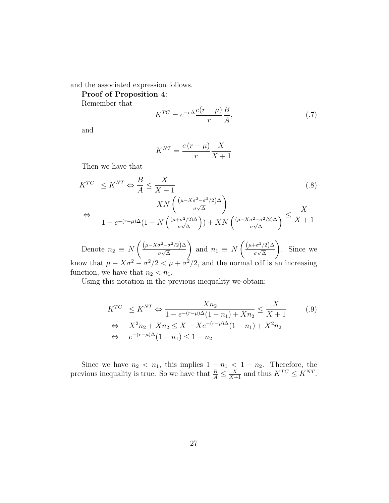and the associated expression follows.

Proof of Proposition 4:

Remember that

$$
K^{TC} = e^{-r\Delta} \frac{c(r-\mu)}{r} \frac{B}{A},\tag{.7}
$$

and

$$
K^{NT} = \frac{c(r - \mu)}{r} \frac{X}{X + 1}
$$

Then we have that

$$
K^{TC} \le K^{NT} \Leftrightarrow \frac{B}{A} \le \frac{X}{X+1}
$$
\n
$$
\Leftrightarrow \frac{XN\left(\frac{(\mu - X\sigma^2 - \sigma^2/2)\Delta}{\sigma\sqrt{\Delta}}\right)}{1 - e^{-(r-\mu)\Delta}(1 - N\left(\frac{(\mu + \sigma^2/2)\Delta}{\sigma\sqrt{\Delta}}\right)) + XN\left(\frac{(\mu - X\sigma^2 - \sigma^2/2)\Delta}{\sigma\sqrt{\Delta}}\right)} \le \frac{X}{X+1}
$$
\n(.8)

Denote  $n_2 \equiv N$  $\int (\mu - X \sigma^2 - \sigma^2/2) \Delta$  $\frac{1}{\sigma\sqrt{\Delta}}$  $\setminus$ and  $n_1 \equiv N$  $\int (\mu + \sigma^2/2) \Delta$  $\frac{1}{\sigma\sqrt{\Delta}}$  $\setminus$ . Since we know that  $\mu - X\sigma^2 - \sigma^2/2 < \mu + \sigma^2/2$ , and the normal cdf is an increasing function, we have that  $n_2 < n_1$ .

Using this notation in the previous inequality we obtain:

$$
K^{TC} \le K^{NT} \Leftrightarrow \frac{Xn_2}{1 - e^{-(r - \mu)\Delta}(1 - n_1) + Xn_2} \le \frac{X}{X + 1}
$$
(.9)  

$$
\Leftrightarrow X^2n_2 + Xn_2 \le X - Xe^{-(r - \mu)\Delta}(1 - n_1) + X^2n_2
$$
  

$$
\Leftrightarrow e^{-(r - \mu)\Delta}(1 - n_1) \le 1 - n_2
$$

Since we have  $n_2 < n_1$ , this implies  $1 - n_1 < 1 - n_2$ . Therefore, the previous inequality is true. So we have that  $\frac{B}{A} \leq \frac{X}{X+1}$  and thus  $K^{TC} \leq K^{NT}$ .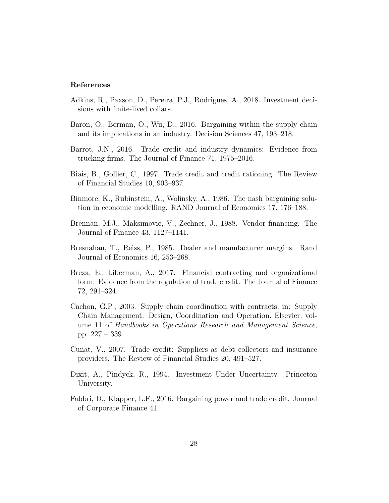## References

- <span id="page-27-6"></span>Adkins, R., Paxson, D., Pereira, P.J., Rodrigues, A., 2018. Investment decisions with finite-lived collars.
- <span id="page-27-9"></span>Baron, O., Berman, O., Wu, D., 2016. Bargaining within the supply chain and its implications in an industry. Decision Sciences 47, 193–218.
- <span id="page-27-5"></span>Barrot, J.N., 2016. Trade credit and industry dynamics: Evidence from trucking firms. The Journal of Finance 71, 1975–2016.
- <span id="page-27-2"></span>Biais, B., Gollier, C., 1997. Trade credit and credit rationing. The Review of Financial Studies 10, 903–937.
- <span id="page-27-10"></span>Binmore, K., Rubinstein, A., Wolinsky, A., 1986. The nash bargaining solution in economic modelling. RAND Journal of Economics 17, 176–188.
- <span id="page-27-1"></span>Brennan, M.J., Maksimovic, V., Zechner, J., 1988. Vendor financing. The Journal of Finance 43, 1127–1141.
- <span id="page-27-8"></span>Bresnahan, T., Reiss, P., 1985. Dealer and manufacturer margins. Rand Journal of Economics 16, 253–268.
- <span id="page-27-4"></span>Breza, E., Liberman, A., 2017. Financial contracting and organizational form: Evidence from the regulation of trade credit. The Journal of Finance 72, 291–324.
- <span id="page-27-7"></span>Cachon, G.P., 2003. Supply chain coordination with contracts, in: Supply Chain Management: Design, Coordination and Operation. Elsevier. volume 11 of Handbooks in Operations Research and Management Science, pp. 227 – 339.
- <span id="page-27-0"></span>Cuñat, V., 2007. Trade credit: Suppliers as debt collectors and insurance providers. The Review of Financial Studies 20, 491–527.
- <span id="page-27-11"></span>Dixit, A., Pindyck, R., 1994. Investment Under Uncertainty. Princeton University.
- <span id="page-27-3"></span>Fabbri, D., Klapper, L.F., 2016. Bargaining power and trade credit. Journal of Corporate Finance 41.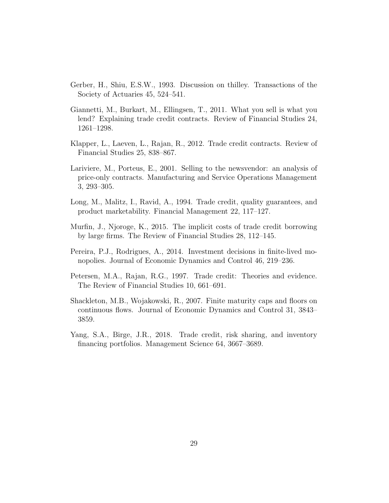- <span id="page-28-8"></span>Gerber, H., Shiu, E.S.W., 1993. Discussion on thilley. Transactions of the Society of Actuaries 45, 524–541.
- <span id="page-28-3"></span>Giannetti, M., Burkart, M., Ellingsen, T., 2011. What you sell is what you lend? Explaining trade credit contracts. Review of Financial Studies 24, 1261–1298.
- <span id="page-28-4"></span>Klapper, L., Laeven, L., Rajan, R., 2012. Trade credit contracts. Review of Financial Studies 25, 838–867.
- <span id="page-28-9"></span>Lariviere, M., Porteus, E., 2001. Selling to the newsvendor: an analysis of price-only contracts. Manufacturing and Service Operations Management 3, 293–305.
- <span id="page-28-2"></span>Long, M., Malitz, I., Ravid, A., 1994. Trade credit, quality guarantees, and product marketability. Financial Management 22, 117–127.
- <span id="page-28-5"></span>Murfin, J., Njoroge, K., 2015. The implicit costs of trade credit borrowing by large firms. The Review of Financial Studies 28, 112–145.
- <span id="page-28-7"></span>Pereira, P.J., Rodrigues, A., 2014. Investment decisions in finite-lived monopolies. Journal of Economic Dynamics and Control 46, 219–236.
- <span id="page-28-1"></span>Petersen, M.A., Rajan, R.G., 1997. Trade credit: Theories and evidence. The Review of Financial Studies 10, 661–691.
- <span id="page-28-6"></span>Shackleton, M.B., Wojakowski, R., 2007. Finite maturity caps and floors on continuous flows. Journal of Economic Dynamics and Control 31, 3843– 3859.
- <span id="page-28-0"></span>Yang, S.A., Birge, J.R., 2018. Trade credit, risk sharing, and inventory financing portfolios. Management Science 64, 3667–3689.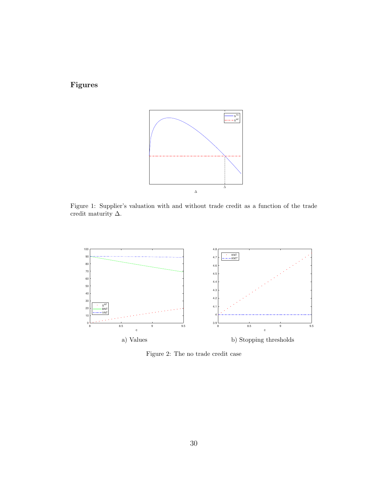Figures



<span id="page-29-0"></span>Figure 1: Supplier's valuation with and without trade credit as a function of the trade credit maturity  $\Delta.$ 



<span id="page-29-1"></span>Figure 2: The no trade credit case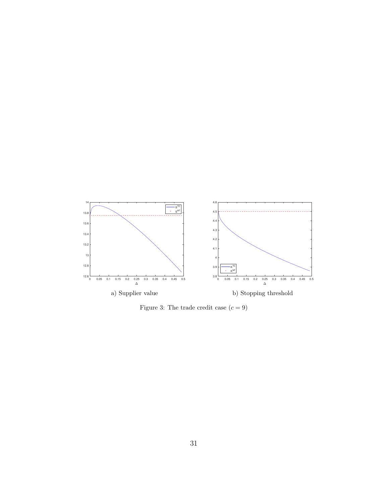

<span id="page-30-0"></span>Figure 3: The trade credit case  $(c = 9)$